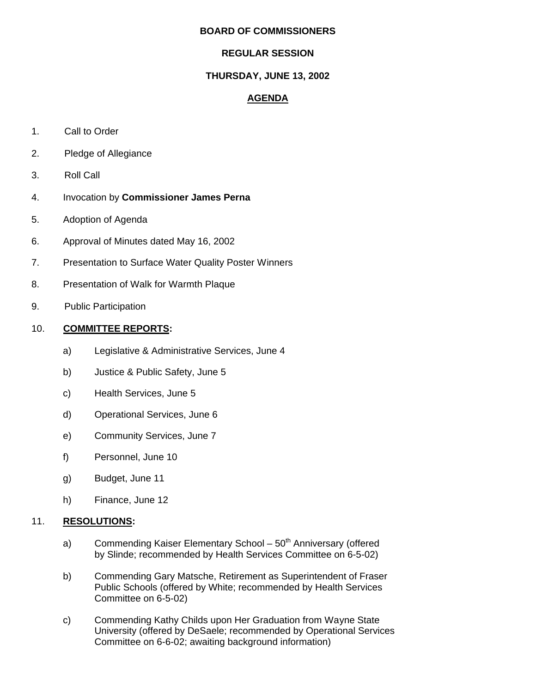#### **BOARD OF COMMISSIONERS**

## **REGULAR SESSION**

# **THURSDAY, JUNE 13, 2002**

# **AGENDA**

- 1. Call to Order
- 2. Pledge of Allegiance
- 3. Roll Call
- 4. Invocation by **Commissioner James Perna**
- 5. Adoption of Agenda
- 6. Approval of Minutes dated May 16, 2002
- 7. Presentation to Surface Water Quality Poster Winners
- 8. Presentation of Walk for Warmth Plaque
- 9. Public Participation

# 10. **COMMITTEE REPORTS:**

- a) Legislative & Administrative Services, June 4
- b) Justice & Public Safety, June 5
- c) Health Services, June 5
- d) Operational Services, June 6
- e) Community Services, June 7
- f) Personnel, June 10
- g) Budget, June 11
- h) Finance, June 12

### 11. **RESOLUTIONS:**

- a) Commending Kaiser Elementary School  $50<sup>th</sup>$  Anniversary (offered by Slinde; recommended by Health Services Committee on 6-5-02)
- b) Commending Gary Matsche, Retirement as Superintendent of Fraser Public Schools (offered by White; recommended by Health Services Committee on 6-5-02)
- c) Commending Kathy Childs upon Her Graduation from Wayne State University (offered by DeSaele; recommended by Operational Services Committee on 6-6-02; awaiting background information)